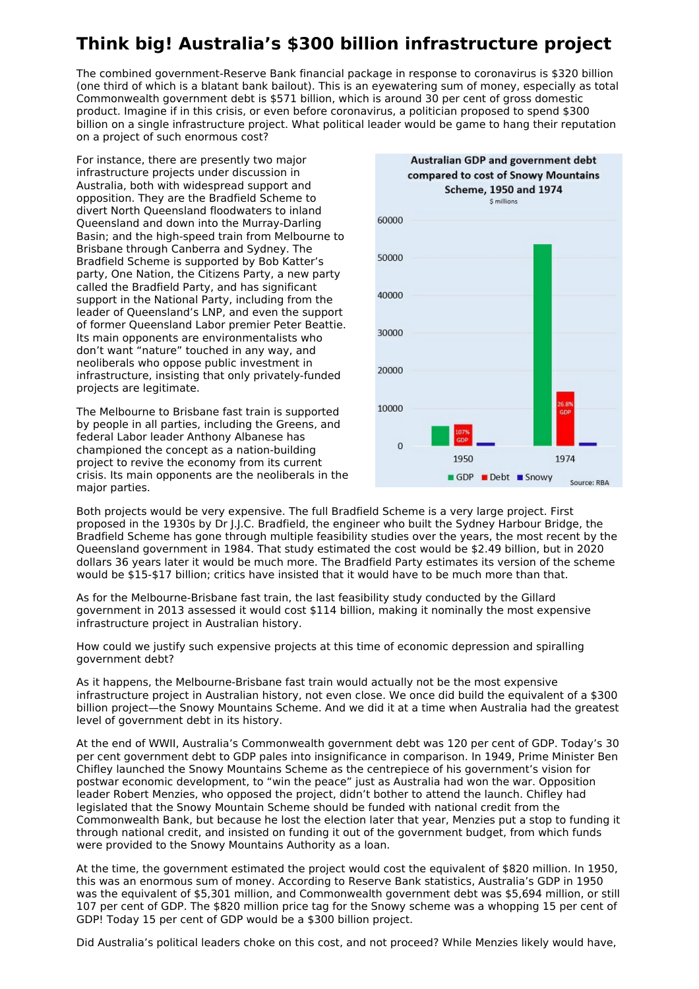## **Think big! Australia's \$300 billion infrastructure project**

The combined government-Reserve Bank financial package in response to coronavirus is \$320 billion (one third of which is a blatant bank bailout). This is an eyewatering sum of money, especially as total Commonwealth government debt is \$571 billion, which is around 30 per cent of gross domestic product. Imagine if in this crisis, or even before coronavirus, a politician proposed to spend \$300 billion on a single infrastructure project. What political leader would be game to hang their reputation on a project of such enormous cost?

For instance, there are presently two major infrastructure projects under discussion in Australia, both with widespread support and opposition. They are the Bradfield Scheme to divert North Queensland floodwaters to inland Queensland and down into the Murray-Darling Basin; and the high-speed train from Melbourne to Brisbane through Canberra and Sydney. The Bradfield Scheme is supported by Bob Katter's party, One Nation, the Citizens Party, a new party called the Bradfield Party, and has significant support in the National Party, including from the leader of Queensland's LNP, and even the support of former Queensland Labor premier Peter Beattie. Its main opponents are environmentalists who don't want "nature" touched in any way, and neoliberals who oppose public investment in infrastructure, insisting that only privately-funded projects are legitimate.

The Melbourne to Brisbane fast train is supported by people in all parties, including the Greens, and federal Labor leader Anthony Albanese has championed the concept as a nation-building project to revive the economy from its current crisis. Its main opponents are the neoliberals in the major parties.



Both projects would be very expensive. The full Bradfield Scheme is a very large project. First proposed in the 1930s by Dr J.J.C. Bradfield, the engineer who built the Sydney Harbour Bridge, the Bradfield Scheme has gone through multiple feasibility studies over the years, the most recent by the Queensland government in 1984. That study estimated the cost would be \$2.49 billion, but in 2020 dollars 36 years later it would be much more. The Bradfield Party estimates its version of the scheme would be \$15-\$17 billion; critics have insisted that it would have to be much more than that.

As for the Melbourne-Brisbane fast train, the last feasibility study conducted by the Gillard government in 2013 assessed it would cost \$114 billion, making it nominally the most expensive infrastructure project in Australian history.

How could we justify such expensive projects at this time of economic depression and spiralling government debt?

As it happens, the Melbourne-Brisbane fast train would actually not be the most expensive infrastructure project in Australian history, not even close. We once did build the equivalent of a \$300 billion project—the Snowy Mountains Scheme. And we did it at a time when Australia had the greatest level of government debt in its history.

At the end of WWII, Australia's Commonwealth government debt was 120 per cent of GDP. Today's 30 per cent government debt to GDP pales into insignificance in comparison. In 1949, Prime Minister Ben Chifley launched the Snowy Mountains Scheme as the centrepiece of his government's vision for postwar economic development, to "win the peace" just as Australia had won the war. Opposition leader Robert Menzies, who opposed the project, didn't bother to attend the launch. Chifley had legislated that the Snowy Mountain Scheme should be funded with national credit from the Commonwealth Bank, but because he lost the election later that year, Menzies put a stop to funding it through national credit, and insisted on funding it out of the government budget, from which funds were provided to the Snowy Mountains Authority as a loan.

At the time, the government estimated the project would cost the equivalent of \$820 million. In 1950, this was an enormous sum of money. According to Reserve Bank statistics, Australia's GDP in 1950 was the equivalent of \$5,301 million, and Commonwealth government debt was \$5,694 million, or still 107 per cent of GDP. The \$820 million price tag for the Snowy scheme was a whopping 15 per cent of GDP! Today 15 per cent of GDP would be a \$300 billion project.

Did Australia's political leaders choke on this cost, and not proceed? While Menzies likely would have,